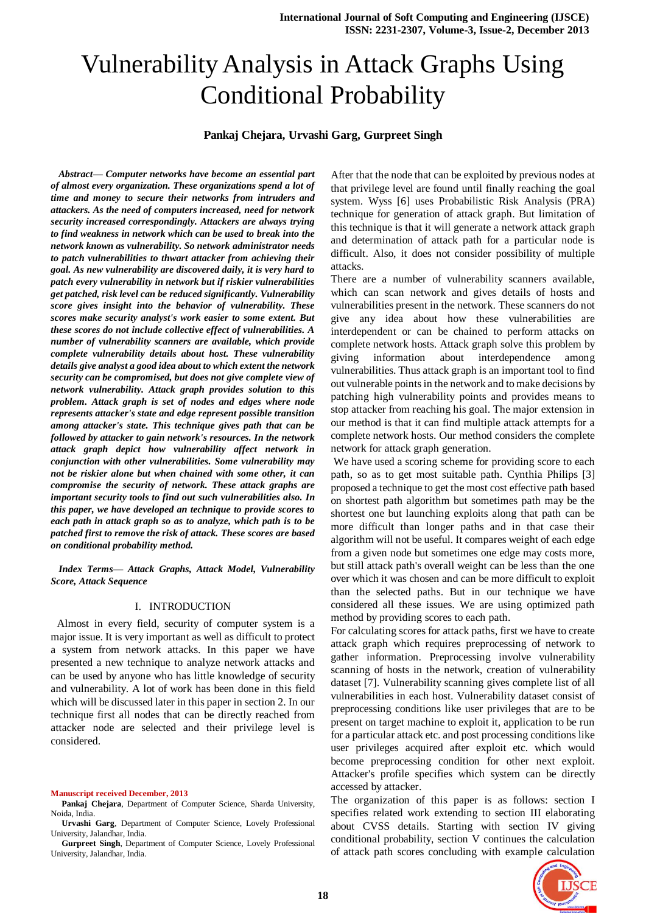# Vulnerability Analysis in Attack Graphs Using Conditional Probability

# **Pankaj Chejara, Urvashi Garg, Gurpreet Singh**

*Abstract— Computer networks have become an essential part of almost every organization. These organizations spend a lot of time and money to secure their networks from intruders and attackers. As the need of computers increased, need for network security increased correspondingly. Attackers are always trying to find weakness in network which can be used to break into the network known as vulnerability. So network administrator needs to patch vulnerabilities to thwart attacker from achieving their goal. As new vulnerability are discovered daily, it is very hard to patch every vulnerability in network but if riskier vulnerabilities get patched, risk level can be reduced significantly. Vulnerability score gives insight into the behavior of vulnerability. These scores make security analyst's work easier to some extent. But these scores do not include collective effect of vulnerabilities. A number of vulnerability scanners are available, which provide complete vulnerability details about host. These vulnerability details give analyst a good idea about to which extent the network security can be compromised, but does not give complete view of network vulnerability. Attack graph provides solution to this problem. Attack graph is set of nodes and edges where node represents attacker's state and edge represent possible transition among attacker's state. This technique gives path that can be followed by attacker to gain network's resources. In the network attack graph depict how vulnerability affect network in conjunction with other vulnerabilities. Some vulnerability may not be riskier alone but when chained with some other, it can compromise the security of network. These attack graphs are important security tools to find out such vulnerabilities also. In this paper, we have developed an technique to provide scores to each path in attack graph so as to analyze, which path is to be patched first to remove the risk of attack. These scores are based on conditional probability method.*

*Index Terms— Attack Graphs, Attack Model, Vulnerability Score, Attack Sequence*

## I. INTRODUCTION

 Almost in every field, security of computer system is a major issue. It is very important as well as difficult to protect a system from network attacks. In this paper we have presented a new technique to analyze network attacks and can be used by anyone who has little knowledge of security and vulnerability. A lot of work has been done in this field which will be discussed later in this paper in section 2. In our technique first all nodes that can be directly reached from attacker node are selected and their privilege level is considered.

**Manuscript received December, 2013**

After that the node that can be exploited by previous nodes at that privilege level are found until finally reaching the goal system. Wyss [6] uses Probabilistic Risk Analysis (PRA) technique for generation of attack graph. But limitation of this technique is that it will generate a network attack graph and determination of attack path for a particular node is difficult. Also, it does not consider possibility of multiple attacks.

There are a number of vulnerability scanners available, which can scan network and gives details of hosts and vulnerabilities present in the network. These scanners do not give any idea about how these vulnerabilities are interdependent or can be chained to perform attacks on complete network hosts. Attack graph solve this problem by giving information about interdependence among vulnerabilities. Thus attack graph is an important tool to find out vulnerable points in the network and to make decisions by patching high vulnerability points and provides means to stop attacker from reaching his goal. The major extension in our method is that it can find multiple attack attempts for a complete network hosts. Our method considers the complete network for attack graph generation.

We have used a scoring scheme for providing score to each path, so as to get most suitable path. Cynthia Philips [3] proposed a technique to get the most cost effective path based on shortest path algorithm but sometimes path may be the shortest one but launching exploits along that path can be more difficult than longer paths and in that case their algorithm will not be useful. It compares weight of each edge from a given node but sometimes one edge may costs more, but still attack path's overall weight can be less than the one over which it was chosen and can be more difficult to exploit than the selected paths. But in our technique we have considered all these issues. We are using optimized path method by providing scores to each path.

For calculating scores for attack paths, first we have to create attack graph which requires preprocessing of network to gather information. Preprocessing involve vulnerability scanning of hosts in the network, creation of vulnerability dataset [7]. Vulnerability scanning gives complete list of all vulnerabilities in each host. Vulnerability dataset consist of preprocessing conditions like user privileges that are to be present on target machine to exploit it, application to be run for a particular attack etc. and post processing conditions like user privileges acquired after exploit etc. which would become preprocessing condition for other next exploit. Attacker's profile specifies which system can be directly accessed by attacker.

The organization of this paper is as follows: section I specifies related work extending to section III elaborating about CVSS details. Starting with section IV giving conditional probability, section V continues the calculation of attack path scores concluding with example calculation



Pankaj Chejara, Department of Computer Science, Sharda University, Noida, India.

**Urvashi Garg**, Department of Computer Science, Lovely Professional University, Jalandhar, India.

**Gurpreet Singh**, Department of Computer Science, Lovely Professional University, Jalandhar, India.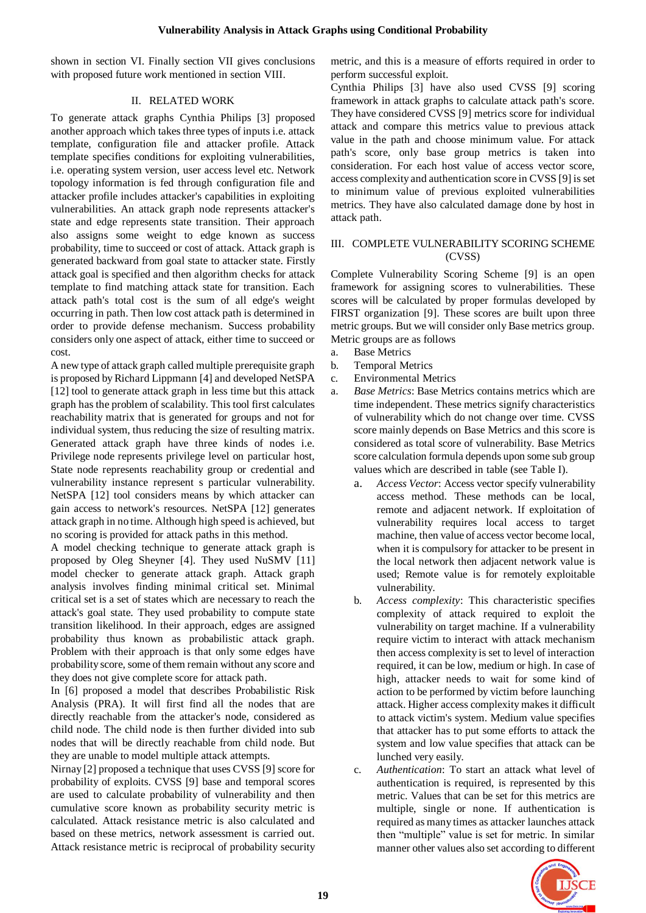shown in section VI. Finally section VII gives conclusions with proposed future work mentioned in section VIII.

# II. RELATED WORK

To generate attack graphs Cynthia Philips [3] proposed another approach which takes three types of inputs i.e. attack template, configuration file and attacker profile. Attack template specifies conditions for exploiting vulnerabilities, i.e. operating system version, user access level etc. Network topology information is fed through configuration file and attacker profile includes attacker's capabilities in exploiting vulnerabilities. An attack graph node represents attacker's state and edge represents state transition. Their approach also assigns some weight to edge known as success probability, time to succeed or cost of attack. Attack graph is generated backward from goal state to attacker state. Firstly attack goal is specified and then algorithm checks for attack template to find matching attack state for transition. Each attack path's total cost is the sum of all edge's weight occurring in path. Then low cost attack path is determined in order to provide defense mechanism. Success probability considers only one aspect of attack, either time to succeed or cost.

A new type of attack graph called multiple prerequisite graph is proposed by Richard Lippmann [4] and developed NetSPA [12] tool to generate attack graph in less time but this attack graph has the problem of scalability. This tool first calculates reachability matrix that is generated for groups and not for individual system, thus reducing the size of resulting matrix. Generated attack graph have three kinds of nodes i.e. Privilege node represents privilege level on particular host, State node represents reachability group or credential and vulnerability instance represent s particular vulnerability. NetSPA [12] tool considers means by which attacker can gain access to network's resources. NetSPA [12] generates attack graph in no time. Although high speed is achieved, but no scoring is provided for attack paths in this method.

A model checking technique to generate attack graph is proposed by Oleg Sheyner [4]. They used NuSMV [11] model checker to generate attack graph. Attack graph analysis involves finding minimal critical set. Minimal critical set is a set of states which are necessary to reach the attack's goal state. They used probability to compute state transition likelihood. In their approach, edges are assigned probability thus known as probabilistic attack graph. Problem with their approach is that only some edges have probability score, some of them remain without any score and they does not give complete score for attack path.

In [6] proposed a model that describes Probabilistic Risk Analysis (PRA). It will first find all the nodes that are directly reachable from the attacker's node, considered as child node. The child node is then further divided into sub nodes that will be directly reachable from child node. But they are unable to model multiple attack attempts.

Nirnay [2] proposed a technique that uses CVSS [9] score for probability of exploits. CVSS [9] base and temporal scores are used to calculate probability of vulnerability and then cumulative score known as probability security metric is calculated. Attack resistance metric is also calculated and based on these metrics, network assessment is carried out. Attack resistance metric is reciprocal of probability security metric, and this is a measure of efforts required in order to perform successful exploit.

Cynthia Philips [3] have also used CVSS [9] scoring framework in attack graphs to calculate attack path's score. They have considered CVSS [9] metrics score for individual attack and compare this metrics value to previous attack value in the path and choose minimum value. For attack path's score, only base group metrics is taken into consideration. For each host value of access vector score, access complexity and authentication score in CVSS [9] is set to minimum value of previous exploited vulnerabilities metrics. They have also calculated damage done by host in attack path.

# III. COMPLETE VULNERABILITY SCORING SCHEME (CVSS)

Complete Vulnerability Scoring Scheme [9] is an open framework for assigning scores to vulnerabilities. These scores will be calculated by proper formulas developed by FIRST organization [9]. These scores are built upon three metric groups. But we will consider only Base metrics group. Metric groups are as follows

- a. Base Metrics
- b. Temporal Metrics
- c. Environmental Metrics
- a. *Base Metrics*: Base Metrics contains metrics which are time independent. These metrics signify characteristics of vulnerability which do not change over time. CVSS score mainly depends on Base Metrics and this score is considered as total score of vulnerability. Base Metrics score calculation formula depends upon some sub group values which are described in table (see Table I).
	- a. *Access Vector*: Access vector specify vulnerability access method. These methods can be local, remote and adjacent network. If exploitation of vulnerability requires local access to target machine, then value of access vector become local, when it is compulsory for attacker to be present in the local network then adjacent network value is used; Remote value is for remotely exploitable vulnerability.
	- b. *Access complexity*: This characteristic specifies complexity of attack required to exploit the vulnerability on target machine. If a vulnerability require victim to interact with attack mechanism then access complexity is set to level of interaction required, it can be low, medium or high. In case of high, attacker needs to wait for some kind of action to be performed by victim before launching attack. Higher access complexity makes it difficult to attack victim's system. Medium value specifies that attacker has to put some efforts to attack the system and low value specifies that attack can be lunched very easily.
	- c. *Authentication*: To start an attack what level of authentication is required, is represented by this metric. Values that can be set for this metrics are multiple, single or none. If authentication is required as many times as attacker launches attack then "multiple" value is set for metric. In similar manner other values also set according to different

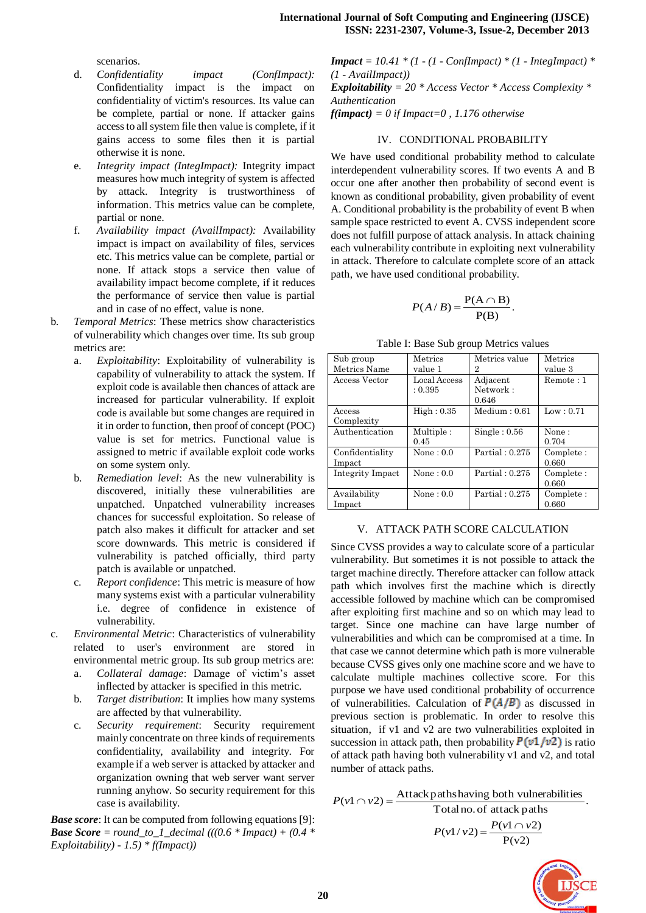scenarios.

- d. *Confidentiality impact (ConfImpact):*  Confidentiality impact is the impact on confidentiality of victim's resources. Its value can be complete, partial or none. If attacker gains access to all system file then value is complete, if it gains access to some files then it is partial otherwise it is none.
- e. *Integrity impact (IntegImpact):* Integrity impact measures how much integrity of system is affected by attack. Integrity is trustworthiness of information. This metrics value can be complete, partial or none.
- f. *Availability impact (AvailImpact):* Availability impact is impact on availability of files, services etc. This metrics value can be complete, partial or none. If attack stops a service then value of availability impact become complete, if it reduces the performance of service then value is partial and in case of no effect, value is none.
- b. *Temporal Metrics*: These metrics show characteristics of vulnerability which changes over time. Its sub group metrics are:
	- a. *Exploitability*: Exploitability of vulnerability is capability of vulnerability to attack the system. If exploit code is available then chances of attack are increased for particular vulnerability. If exploit code is available but some changes are required in it in order to function, then proof of concept (POC) value is set for metrics. Functional value is assigned to metric if available exploit code works on some system only.
	- b. *Remediation level*: As the new vulnerability is discovered, initially these vulnerabilities are unpatched. Unpatched vulnerability increases chances for successful exploitation. So release of patch also makes it difficult for attacker and set score downwards. This metric is considered if vulnerability is patched officially, third party patch is available or unpatched.
	- c. *Report confidence*: This metric is measure of how many systems exist with a particular vulnerability i.e. degree of confidence in existence of vulnerability.
- c. *Environmental Metric*: Characteristics of vulnerability related to user's environment are stored in environmental metric group. Its sub group metrics are:
	- a. *Collateral damage*: Damage of victim's asset inflected by attacker is specified in this metric.
	- b. *Target distribution*: It implies how many systems are affected by that vulnerability.
	- c. *Security requirement*: Security requirement mainly concentrate on three kinds of requirements confidentiality, availability and integrity. For example if a web server is attacked by attacker and organization owning that web server want server running anyhow. So security requirement for this case is availability.

*Base score*: It can be computed from following equations [9]: *Base Score* = round\_to\_1\_decimal (((0.6 \* Impact) + (0.4 \* *Exploitability) - 1.5) \* f(Impact))*

*Impact = 10.41 \* (1 - (1 - ConfImpact) \* (1 - IntegImpact) \* (1 - AvailImpact)) Exploitability = 20 \* Access Vector \* Access Complexity \** 

*Authentication f(impact) = 0 if Impact=0 , 1.176 otherwise*

## IV. CONDITIONAL PROBABILITY

We have used conditional probability method to calculate interdependent vulnerability scores. If two events A and B occur one after another then probability of second event is known as conditional probability, given probability of event A. Conditional probability is the probability of event B when sample space restricted to event A. CVSS independent score does not fulfill purpose of attack analysis. In attack chaining each vulnerability contribute in exploiting next vulnerability in attack. Therefore to calculate complete score of an attack path, we have used conditional probability.

$$
P(A/B) = \frac{P(A \cap B)}{P(B)}.
$$

Table I: Base Sub group Metrics values

| Sub group        | <b>Metrics</b> | Metrics value    | Metrics   |
|------------------|----------------|------------------|-----------|
| Metrics Name     | value 1        | 2                | value 3   |
| Access Vector    | Local Access   | Adjacent         | Remote: 1 |
|                  | : 0.395        | Network :        |           |
|                  |                | 0.646            |           |
| Access           | High: 0.35     | Median: 0.61     | Low: 0.71 |
| Complexity       |                |                  |           |
| Authentication   | Multiple:      | Single: 0.56     | None:     |
|                  | 0.45           |                  | 0.704     |
| Confidentiality  | None: $0.0$    | Partial: 0.275   | Complete: |
| Impact           |                |                  | 0.660     |
| Integrity Impact | None: $0.0$    | Partial: 0.275   | Complete: |
|                  |                |                  | 0.660     |
| Availability     | None: $0.0$    | Partial: $0.275$ | Complete: |
| Impact           |                |                  | 0.660     |

# V. ATTACK PATH SCORE CALCULATION

Since CVSS provides a way to calculate score of a particular vulnerability. But sometimes it is not possible to attack the target machine directly. Therefore attacker can follow attack path which involves first the machine which is directly accessible followed by machine which can be compromised after exploiting first machine and so on which may lead to target. Since one machine can have large number of vulnerabilities and which can be compromised at a time. In that case we cannot determine which path is more vulnerable because CVSS gives only one machine score and we have to calculate multiple machines collective score. For this purpose we have used conditional probability of occurrence of vulnerabilities. Calculation of  $P(A/B)$  as discussed in previous section is problematic. In order to resolve this situation, if v1 and v2 are two vulnerabilities exploited in succession in attack path, then probability  $P(v1/v2)$  is ratio of attack path having both vulnerability v1 and v2, and total number of attack paths.

.  $P(v2)$  $P(v1/v2) = \frac{P(v1 \cap v2)}{P(v1)}$  $P(v1 \cap v2) = \frac{\text{Attack paths having both vulnerable}}{\text{Total no. of attack paths}}$